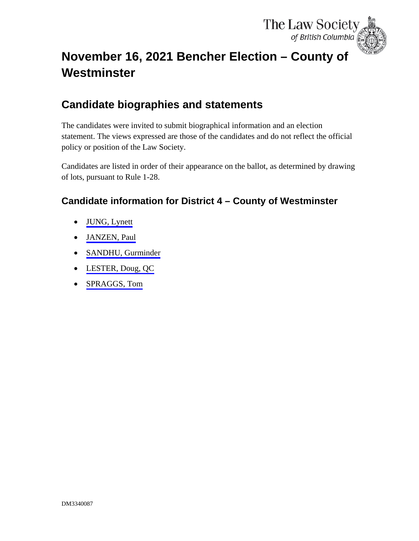

## <span id="page-0-0"></span>**November 16, 2021 Bencher Election – County of Westminster**

### **Candidate biographies and statements**

The candidates were invited to submit biographical information and an election statement. The views expressed are those of the candidates and do not reflect the official policy or position of the Law Society.

Candidates are listed in order of their appearance on the ballot, as determined by drawing of lots, pursuant to Rule 1-28.

### **Candidate information for District 4 – County of Westminster**

- [JUNG, Lynett](#page-1-0)
- [JANZEN, Paul](#page-3-0)
- [SANDHU, Gurminder](#page-4-0)
- [LESTER, Doug, QC](#page-6-0)
- [SPRAGGS, Tom](#page-8-0)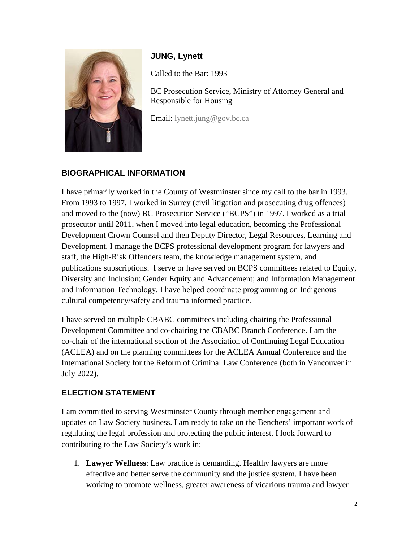<span id="page-1-0"></span>

### **JUNG, Lynett**

Called to the Bar: 1993

BC Prosecution Service, Ministry of Attorney General and Responsible for Housing

Email: [lynett.jung@gov.bc.ca](mailto:lynett.jung@gov.bc.ca)

### **BIOGRAPHICAL INFORMATION**

I have primarily worked in the County of Westminster since my call to the bar in 1993. From 1993 to 1997, I worked in Surrey (civil litigation and prosecuting drug offences) and moved to the (now) BC Prosecution Service ("BCPS") in 1997. I worked as a trial prosecutor until 2011, when I moved into legal education, becoming the Professional Development Crown Counsel and then Deputy Director, Legal Resources, Learning and Development. I manage the BCPS professional development program for lawyers and staff, the High-Risk Offenders team, the knowledge management system, and publications subscriptions. I serve or have served on BCPS committees related to Equity, Diversity and Inclusion; Gender Equity and Advancement; and Information Management and Information Technology. I have helped coordinate programming on Indigenous cultural competency/safety and trauma informed practice.

I have served on multiple CBABC committees including chairing the Professional Development Committee and co-chairing the CBABC Branch Conference. I am the co-chair of the international section of the Association of Continuing Legal Education (ACLEA) and on the planning committees for the ACLEA Annual Conference and the International Society for the Reform of Criminal Law Conference (both in Vancouver in July 2022).

### **ELECTION STATEMENT**

I am committed to serving Westminster County through member engagement and updates on Law Society business. I am ready to take on the Benchers' important work of regulating the legal profession and protecting the public interest. I look forward to contributing to the Law Society's work in:

1. **Lawyer Wellness**: Law practice is demanding. Healthy lawyers are more effective and better serve the community and the justice system. I have been working to promote wellness, greater awareness of vicarious trauma and lawyer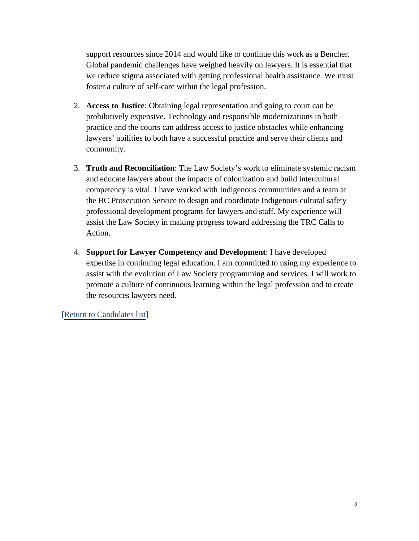support resources since 2014 and would like to continue this work as a Bencher. Global pandemic challenges have weighed heavily on lawyers. It is essential that we reduce stigma associated with getting professional health assistance. We must foster a culture of self-care within the legal profession.

- 2. **Access to Justice**: Obtaining legal representation and going to court can be prohibitively expensive. Technology and responsible modernizations in both practice and the courts can address access to justice obstacles while enhancing lawyers' abilities to both have a successful practice and serve their clients and community.
- 3. **Truth and Reconciliation**: The Law Society's work to eliminate systemic racism and educate lawyers about the impacts of colonization and build intercultural competency is vital. I have worked with Indigenous communities and a team at the BC Prosecution Service to design and coordinate Indigenous cultural safety professional development programs for lawyers and staff. My experience will assist the Law Society in making progress toward addressing the TRC Calls to Action.
- 4. **Support for Lawyer Competency and Development**: I have developed expertise in continuing legal education. I am committed to using my experience to assist with the evolution of Law Society programming and services. I will work to promote a culture of continuous learning within the legal profession and to create the resources lawyers need.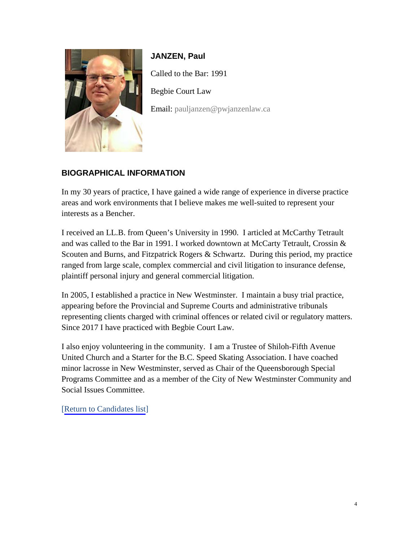<span id="page-3-0"></span>

**JANZEN, Paul** Called to the Bar: 1991 Begbie Court Law Email: [pauljanzen@pwjanzenlaw.ca](mailto:pauljanzen@pwjanzenlaw.ca)

### **BIOGRAPHICAL INFORMATION**

In my 30 years of practice, I have gained a wide range of experience in diverse practice areas and work environments that I believe makes me well-suited to represent your interests as a Bencher.

I received an LL.B. from Queen's University in 1990. I articled at McCarthy Tetrault and was called to the Bar in 1991. I worked downtown at McCarty Tetrault, Crossin & Scouten and Burns, and Fitzpatrick Rogers & Schwartz. During this period, my practice ranged from large scale, complex commercial and civil litigation to insurance defense, plaintiff personal injury and general commercial litigation.

In 2005, I established a practice in New Westminster. I maintain a busy trial practice, appearing before the Provincial and Supreme Courts and administrative tribunals representing clients charged with criminal offences or related civil or regulatory matters. Since 2017 I have practiced with Begbie Court Law.

I also enjoy volunteering in the community. I am a Trustee of Shiloh-Fifth Avenue United Church and a Starter for the B.C. Speed Skating Association. I have coached minor lacrosse in New Westminster, served as Chair of the Queensborough Special Programs Committee and as a member of the City of New Westminster Community and Social Issues Committee.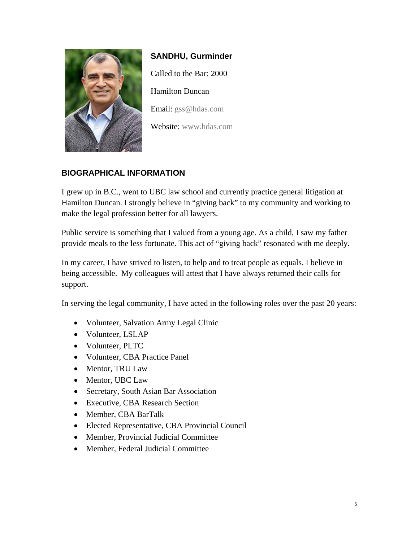<span id="page-4-0"></span>

# **SANDHU, Gurminder** Called to the Bar: 2000 Hamilton Duncan Email: [gss@hdas.com](mailto:gss@hdas.com)

Website: [www.hdas.com](http://www.hdas.com/)

### **BIOGRAPHICAL INFORMATION**

I grew up in B.C., went to UBC law school and currently practice general litigation at Hamilton Duncan. I strongly believe in "giving back" to my community and working to make the legal profession better for all lawyers.

Public service is something that I valued from a young age. As a child, I saw my father provide meals to the less fortunate. This act of "giving back" resonated with me deeply.

In my career, I have strived to listen, to help and to treat people as equals. I believe in being accessible. My colleagues will attest that I have always returned their calls for support.

In serving the legal community, I have acted in the following roles over the past 20 years:

- Volunteer, Salvation Army Legal Clinic
- Volunteer, LSLAP
- Volunteer, PLTC
- Volunteer, CBA Practice Panel
- Mentor, TRU Law
- Mentor, UBC Law
- Secretary, South Asian Bar Association
- Executive, CBA Research Section
- Member, CBA BarTalk
- Elected Representative, CBA Provincial Council
- Member, Provincial Judicial Committee
- Member, Federal Judicial Committee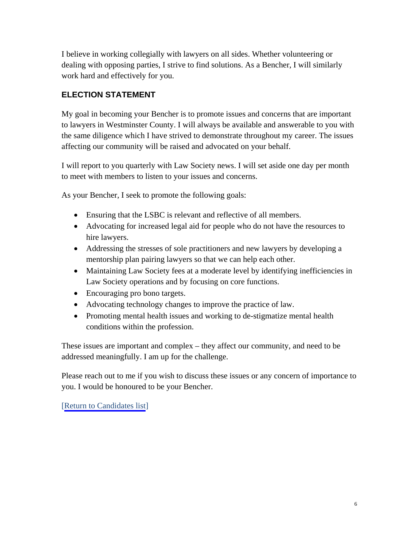I believe in working collegially with lawyers on all sides. Whether volunteering or dealing with opposing parties, I strive to find solutions. As a Bencher, I will similarly work hard and effectively for you.

### **ELECTION STATEMENT**

My goal in becoming your Bencher is to promote issues and concerns that are important to lawyers in Westminster County. I will always be available and answerable to you with the same diligence which I have strived to demonstrate throughout my career. The issues affecting our community will be raised and advocated on your behalf.

I will report to you quarterly with Law Society news. I will set aside one day per month to meet with members to listen to your issues and concerns.

As your Bencher, I seek to promote the following goals:

- Ensuring that the LSBC is relevant and reflective of all members.
- Advocating for increased legal aid for people who do not have the resources to hire lawyers.
- Addressing the stresses of sole practitioners and new lawyers by developing a mentorship plan pairing lawyers so that we can help each other.
- Maintaining Law Society fees at a moderate level by identifying inefficiencies in Law Society operations and by focusing on core functions.
- Encouraging pro bono targets.
- Advocating technology changes to improve the practice of law.
- Promoting mental health issues and working to de-stigmatize mental health conditions within the profession.

These issues are important and complex – they affect our community, and need to be addressed meaningfully. I am up for the challenge.

Please reach out to me if you wish to discuss these issues or any concern of importance to you. I would be honoured to be your Bencher.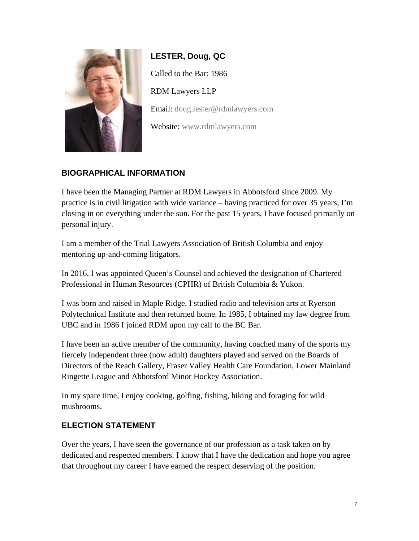<span id="page-6-0"></span>

**LESTER, Doug, QC** Called to the Bar: 1986 RDM Lawyers LLP Email: [doug.lester@rdmlawyers.com](mailto:doug.lester@rdmlawyers.com) Website: [www.rdmlawyers.com](https://rdmlawyers.com/team/douglas-lester/)

### **BIOGRAPHICAL INFORMATION**

I have been the Managing Partner at RDM Lawyers in Abbotsford since 2009. My practice is in civil litigation with wide variance – having practiced for over 35 years, I'm closing in on everything under the sun. For the past 15 years, I have focused primarily on personal injury.

I am a member of the Trial Lawyers Association of British Columbia and enjoy mentoring up-and-coming litigators.

In 2016, I was appointed Queen's Counsel and achieved the designation of Chartered Professional in Human Resources (CPHR) of British Columbia & Yukon.

I was born and raised in Maple Ridge. I studied radio and television arts at Ryerson Polytechnical Institute and then returned home. In 1985, I obtained my law degree from UBC and in 1986 I joined RDM upon my call to the BC Bar.

I have been an active member of the community, having coached many of the sports my fiercely independent three (now adult) daughters played and served on the Boards of Directors of the Reach Gallery, Fraser Valley Health Care Foundation, Lower Mainland Ringette League and Abbotsford Minor Hockey Association.

In my spare time, I enjoy cooking, golfing, fishing, hiking and foraging for wild mushrooms.

### **ELECTION STATEMENT**

Over the years, I have seen the governance of our profession as a task taken on by dedicated and respected members. I know that I have the dedication and hope you agree that throughout my career I have earned the respect deserving of the position.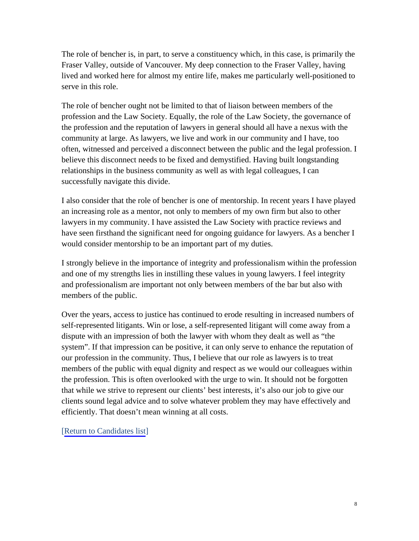The role of bencher is, in part, to serve a constituency which, in this case, is primarily the Fraser Valley, outside of Vancouver. My deep connection to the Fraser Valley, having lived and worked here for almost my entire life, makes me particularly well-positioned to serve in this role.

The role of bencher ought not be limited to that of liaison between members of the profession and the Law Society. Equally, the role of the Law Society, the governance of the profession and the reputation of lawyers in general should all have a nexus with the community at large. As lawyers, we live and work in our community and I have, too often, witnessed and perceived a disconnect between the public and the legal profession. I believe this disconnect needs to be fixed and demystified. Having built longstanding relationships in the business community as well as with legal colleagues, I can successfully navigate this divide.

I also consider that the role of bencher is one of mentorship. In recent years I have played an increasing role as a mentor, not only to members of my own firm but also to other lawyers in my community. I have assisted the Law Society with practice reviews and have seen firsthand the significant need for ongoing guidance for lawyers. As a bencher I would consider mentorship to be an important part of my duties.

I strongly believe in the importance of integrity and professionalism within the profession and one of my strengths lies in instilling these values in young lawyers. I feel integrity and professionalism are important not only between members of the bar but also with members of the public.

Over the years, access to justice has continued to erode resulting in increased numbers of self-represented litigants. Win or lose, a self-represented litigant will come away from a dispute with an impression of both the lawyer with whom they dealt as well as "the system". If that impression can be positive, it can only serve to enhance the reputation of our profession in the community. Thus, I believe that our role as lawyers is to treat members of the public with equal dignity and respect as we would our colleagues within the profession. This is often overlooked with the urge to win. It should not be forgotten that while we strive to represent our clients' best interests, it's also our job to give our clients sound legal advice and to solve whatever problem they may have effectively and efficiently. That doesn't mean winning at all costs.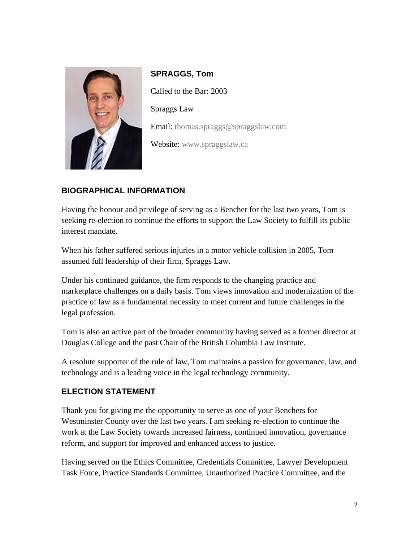<span id="page-8-0"></span>

**SPRAGGS, Tom** Called to the Bar: 2003 Spraggs Law Email: [thomas.spraggs@spraggslaw.com](mailto:thomas.spraggs@spraggslaw.com) Website: [www.spraggslaw.ca](http://www.spraggslaw.ca/)

### **BIOGRAPHICAL INFORMATION**

Having the honour and privilege of serving as a Bencher for the last two years, Tom is seeking re-election to continue the efforts to support the Law Society to fulfill its public interest mandate.

When his father suffered serious injuries in a motor vehicle collision in 2005, Tom assumed full leadership of their firm, Spraggs Law.

Under his continued guidance, the firm responds to the changing practice and marketplace challenges on a daily basis. Tom views innovation and modernization of the practice of law as a fundamental necessity to meet current and future challenges in the legal profession.

Tom is also an active part of the broader community having served as a former director at Douglas College and the past Chair of the British Columbia Law Institute.

A resolute supporter of the rule of law, Tom maintains a passion for governance, law, and technology and is a leading voice in the legal technology community.

#### **ELECTION STATEMENT**

Thank you for giving me the opportunity to serve as one of your Benchers for Westminster County over the last two years. I am seeking re-election to continue the work at the Law Society towards increased fairness, continued innovation, governance reform, and support for improved and enhanced access to justice.

Having served on the Ethics Committee, Credentials Committee, Lawyer Development Task Force, Practice Standards Committee, Unauthorized Practice Committee, and the